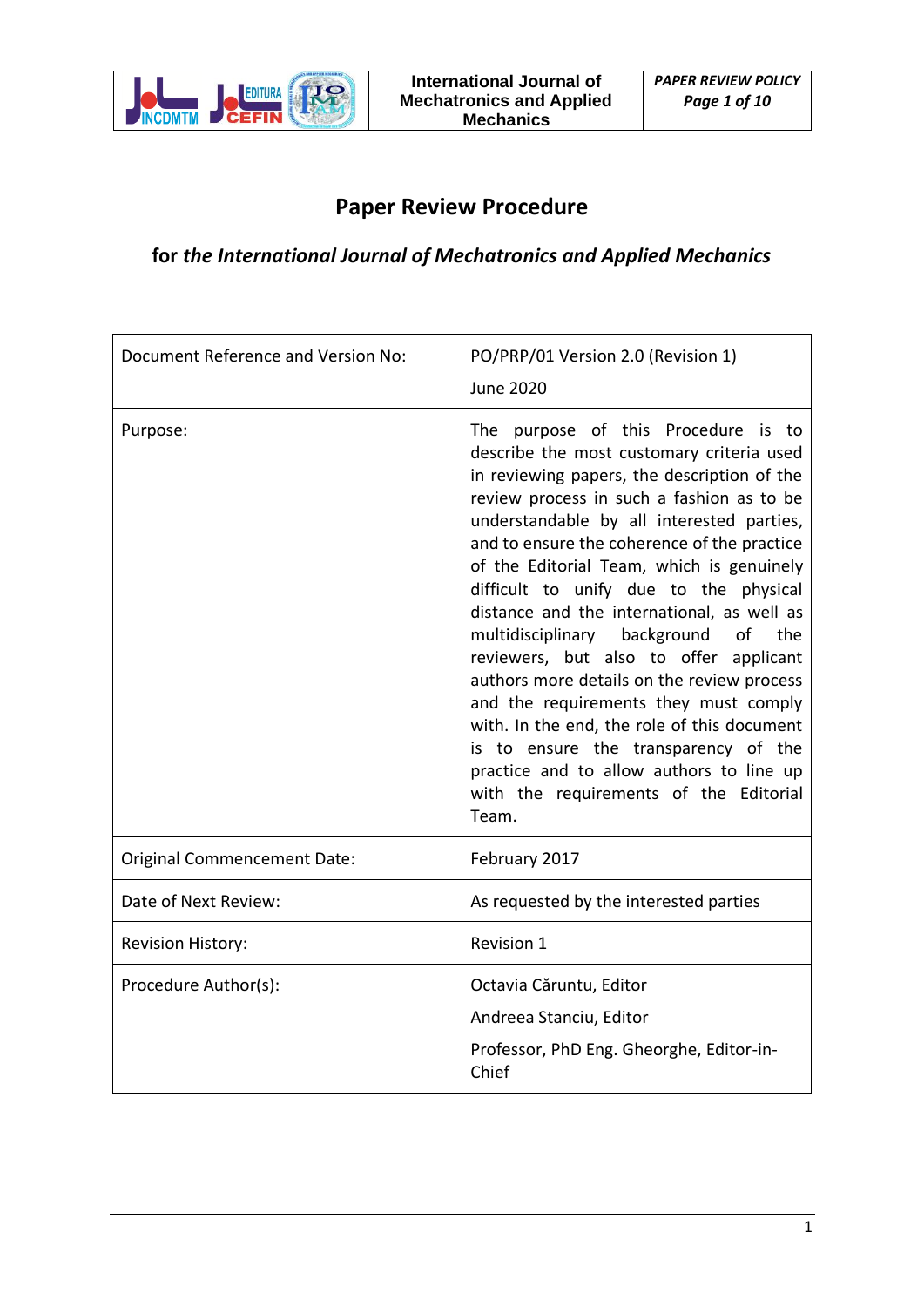

# **Paper Review Procedure**

# **for** *the International Journal of Mechatronics and Applied Mechanics*

| Document Reference and Version No: | PO/PRP/01 Version 2.0 (Revision 1)<br><b>June 2020</b>                                                                                                                                                                                                                                                                                                                                                                                                                                                                                                                                                                                                                                                                                                                            |  |
|------------------------------------|-----------------------------------------------------------------------------------------------------------------------------------------------------------------------------------------------------------------------------------------------------------------------------------------------------------------------------------------------------------------------------------------------------------------------------------------------------------------------------------------------------------------------------------------------------------------------------------------------------------------------------------------------------------------------------------------------------------------------------------------------------------------------------------|--|
| Purpose:                           | The purpose of this Procedure is to<br>describe the most customary criteria used<br>in reviewing papers, the description of the<br>review process in such a fashion as to be<br>understandable by all interested parties,<br>and to ensure the coherence of the practice<br>of the Editorial Team, which is genuinely<br>difficult to unify due to the physical<br>distance and the international, as well as<br>multidisciplinary background<br>of<br>the<br>reviewers, but also to offer applicant<br>authors more details on the review process<br>and the requirements they must comply<br>with. In the end, the role of this document<br>is to ensure the transparency of the<br>practice and to allow authors to line up<br>with the requirements of the Editorial<br>Team. |  |
| <b>Original Commencement Date:</b> | February 2017                                                                                                                                                                                                                                                                                                                                                                                                                                                                                                                                                                                                                                                                                                                                                                     |  |
| Date of Next Review:               | As requested by the interested parties                                                                                                                                                                                                                                                                                                                                                                                                                                                                                                                                                                                                                                                                                                                                            |  |
| <b>Revision History:</b>           | <b>Revision 1</b>                                                                                                                                                                                                                                                                                                                                                                                                                                                                                                                                                                                                                                                                                                                                                                 |  |
| Procedure Author(s):               | Octavia Căruntu, Editor<br>Andreea Stanciu, Editor<br>Professor, PhD Eng. Gheorghe, Editor-in-<br>Chief                                                                                                                                                                                                                                                                                                                                                                                                                                                                                                                                                                                                                                                                           |  |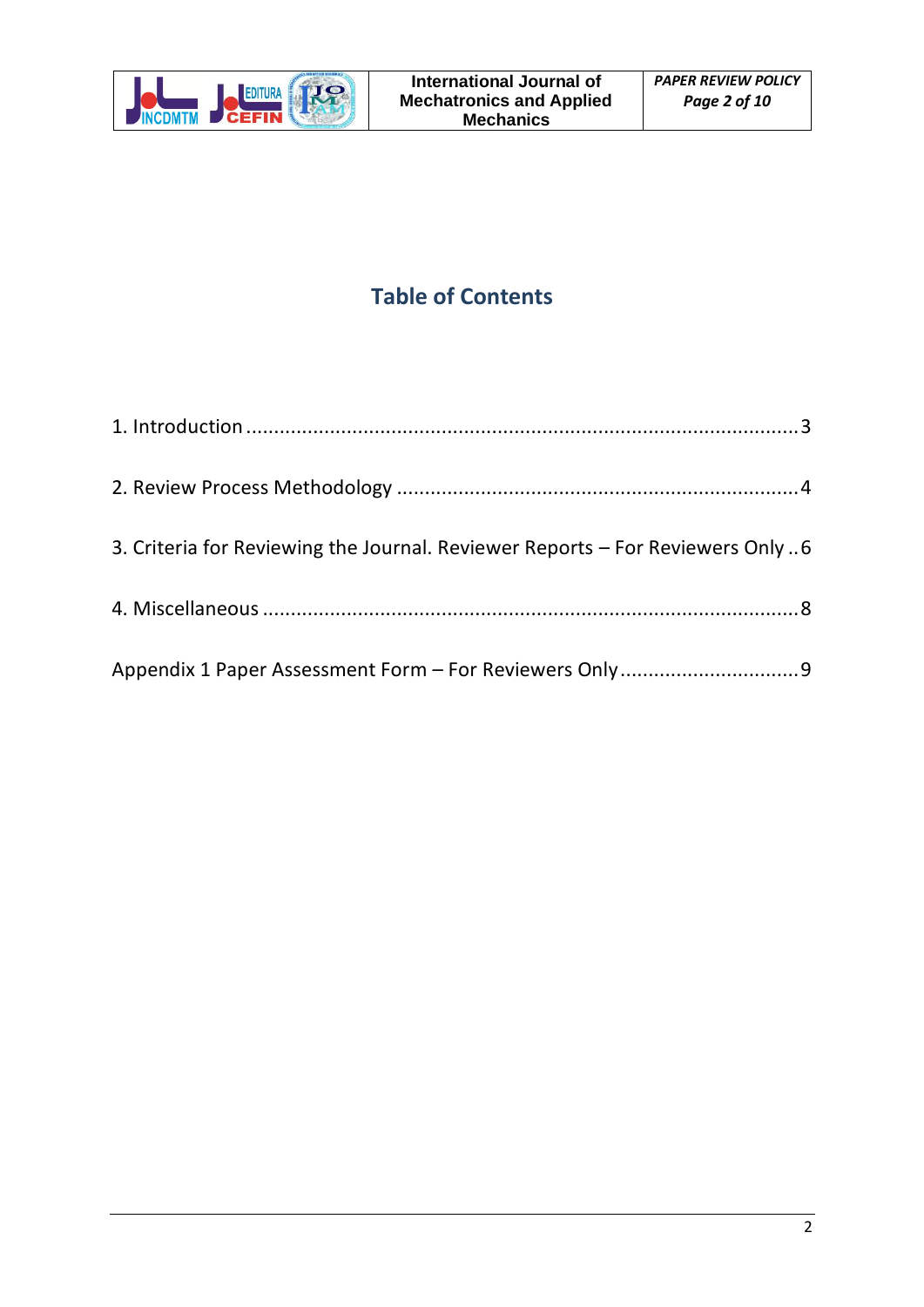

# **Table of Contents**

| 3. Criteria for Reviewing the Journal. Reviewer Reports - For Reviewers Only6 |  |
|-------------------------------------------------------------------------------|--|
|                                                                               |  |
|                                                                               |  |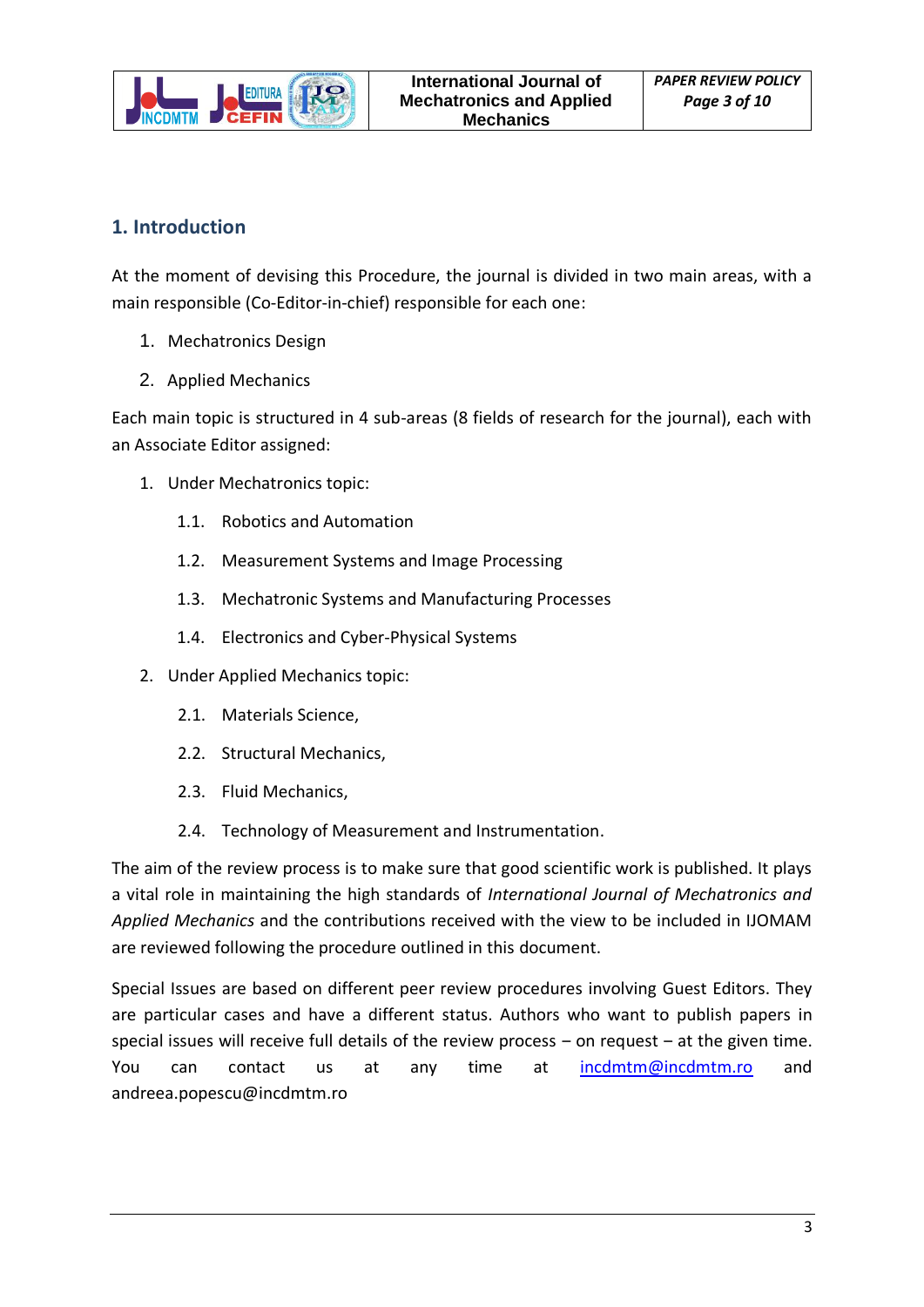

# <span id="page-2-0"></span>**1. Introduction**

At the moment of devising this Procedure, the journal is divided in two main areas, with a main responsible (Co-Editor-in-chief) responsible for each one:

- 1. Mechatronics Design
- 2. Applied Mechanics

Each main topic is structured in 4 sub-areas (8 fields of research for the journal), each with an Associate Editor assigned:

- 1. Under Mechatronics topic:
	- 1.1. Robotics and Automation
	- 1.2. Measurement Systems and Image Processing
	- 1.3. Mechatronic Systems and Manufacturing Processes
	- 1.4. Electronics and Cyber-Physical Systems
- 2. Under Applied Mechanics topic:
	- 2.1. Materials Science,
	- 2.2. Structural Mechanics,
	- 2.3. Fluid Mechanics,
	- 2.4. Technology of Measurement and Instrumentation.

The aim of the review process is to make sure that good scientific work is published. It plays a vital role in maintaining the high standards of *International Journal of Mechatronics and Applied Mechanics* and the contributions received with the view to be included in IJOMAM are reviewed following the procedure outlined in this document.

Special Issues are based on different peer review procedures involving Guest Editors. They are particular cases and have a different status. Authors who want to publish papers in special issues will receive full details of the review process  $-$  on request  $-$  at the given time. You can contact us at any time at [incdmtm@incdmtm.ro](mailto:incdmtm@incdmtm.ro) and andreea.popescu@incdmtm.ro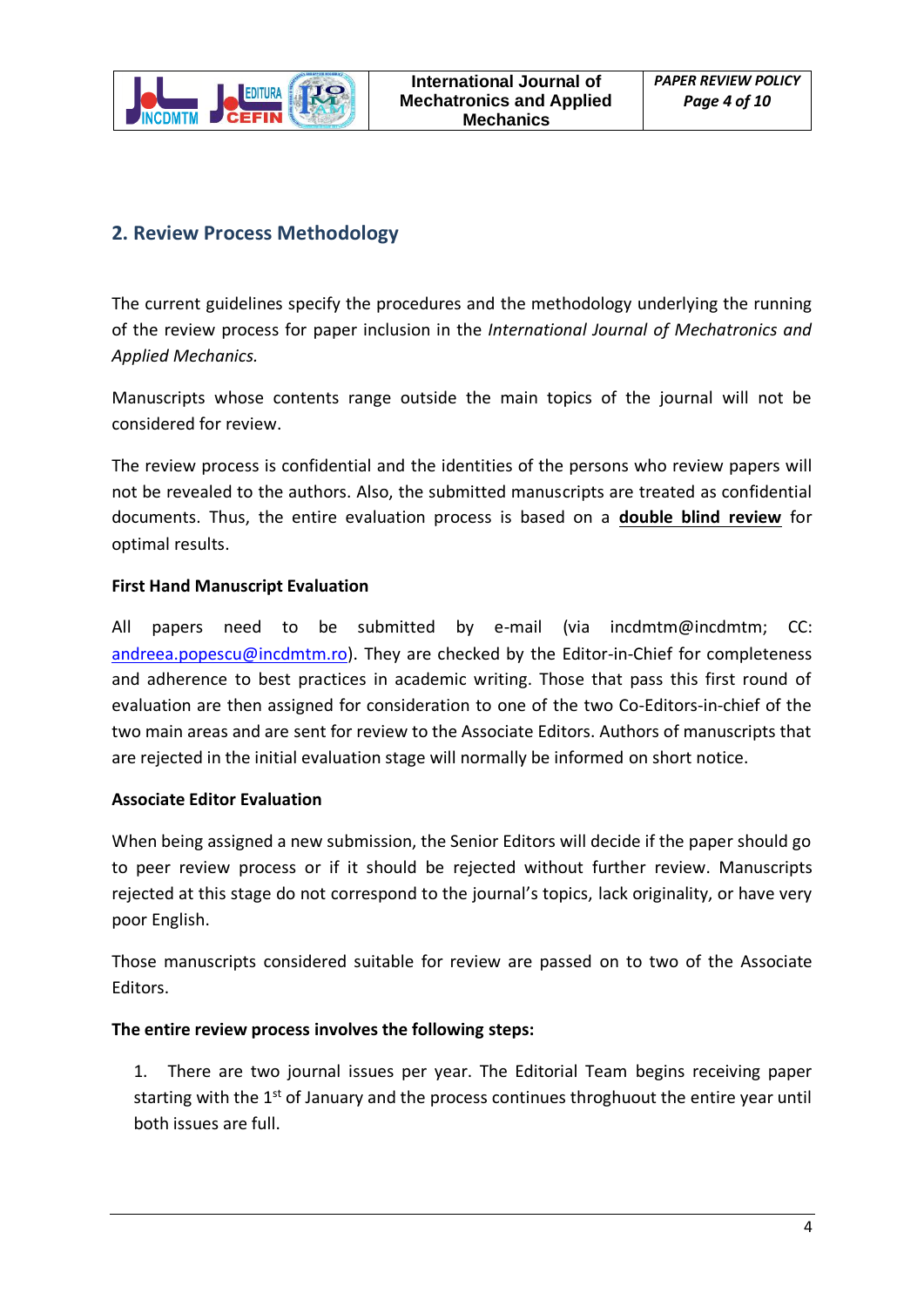

## <span id="page-3-0"></span>**2. Review Process Methodology**

The current guidelines specify the procedures and the methodology underlying the running of the review process for paper inclusion in the *International Journal of Mechatronics and Applied Mechanics.*

Manuscripts whose contents range outside the main topics of the journal will not be considered for review.

The review process is confidential and the identities of the persons who review papers will not be revealed to the authors. Also, the submitted manuscripts are treated as confidential documents. Thus, the entire evaluation process is based on a **double blind review** for optimal results.

### **First Hand Manuscript Evaluation**

All papers need to be submitted by e-mail (via incdmtm@incdmtm; CC: [andreea.popescu@incdmtm.ro\)](mailto:andreea.popescu@incdmtm.ro). They are checked by the Editor-in-Chief for completeness and adherence to best practices in academic writing. Those that pass this first round of evaluation are then assigned for consideration to one of the two Co-Editors-in-chief of the two main areas and are sent for review to the Associate Editors. Authors of manuscripts that are rejected in the initial evaluation stage will normally be informed on short notice.

### **Associate Editor Evaluation**

When being assigned a new submission, the Senior Editors will decide if the paper should go to peer review process or if it should be rejected without further review. Manuscripts rejected at this stage do not correspond to the journal's topics, lack originality, or have very poor English.

Those manuscripts considered suitable for review are passed on to two of the Associate Editors.

### **The entire review process involves the following steps:**

1. There are two journal issues per year. The Editorial Team begins receiving paper starting with the  $1<sup>st</sup>$  of January and the process continues throghuout the entire year until both issues are full.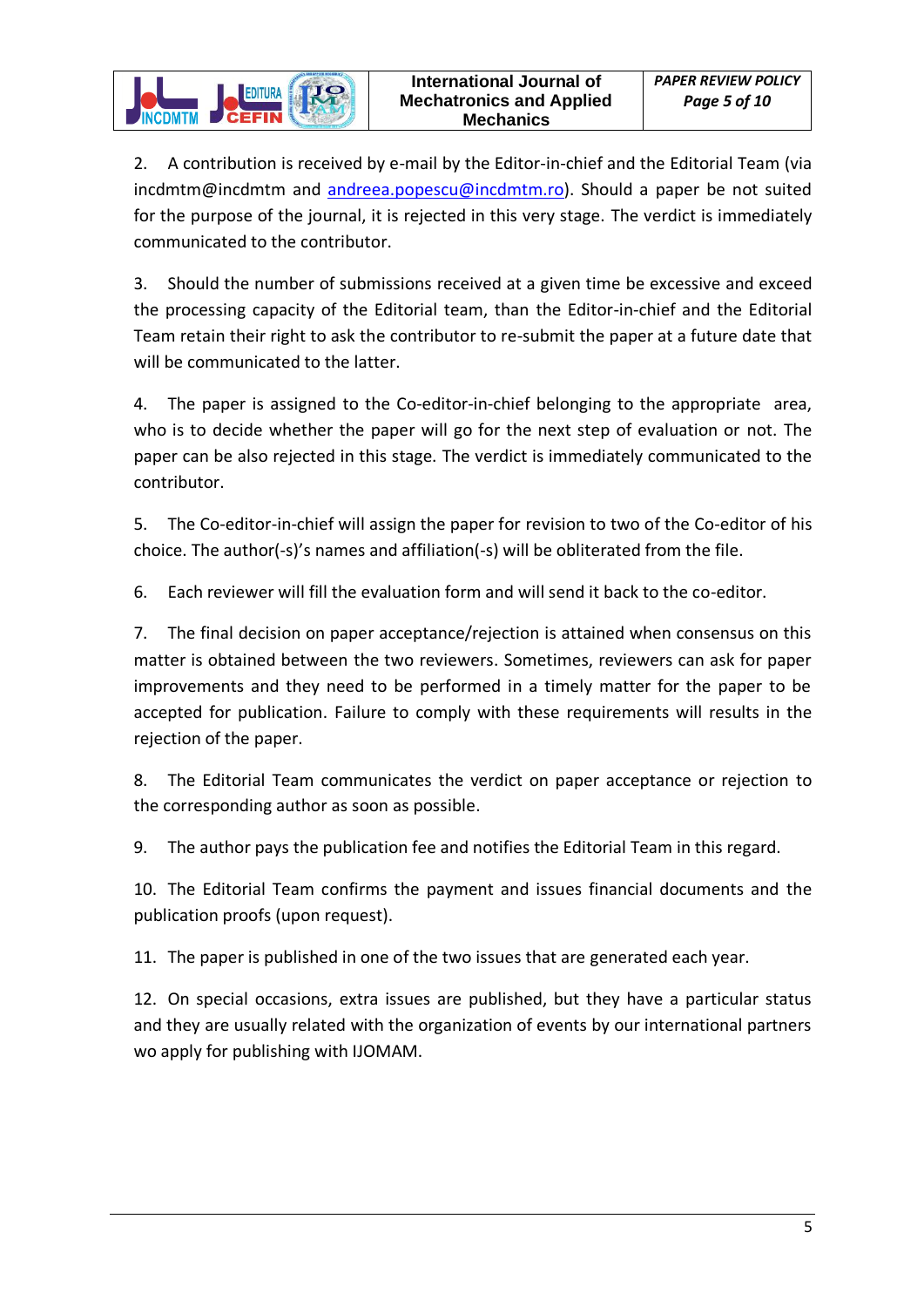2. A contribution is received by e-mail by the Editor-in-chief and the Editorial Team (via incdmtm@incdmtm and [andreea.popescu@incdmtm.ro\)](mailto:andreea.popescu@incdmtm.ro). Should a paper be not suited for the purpose of the journal, it is rejected in this very stage. The verdict is immediately communicated to the contributor.

**EDITURA** 

3. Should the number of submissions received at a given time be excessive and exceed the processing capacity of the Editorial team, than the Editor-in-chief and the Editorial Team retain their right to ask the contributor to re-submit the paper at a future date that will be communicated to the latter.

4. The paper is assigned to the Co-editor-in-chief belonging to the appropriate area, who is to decide whether the paper will go for the next step of evaluation or not. The paper can be also rejected in this stage. The verdict is immediately communicated to the contributor.

5. The Co-editor-in-chief will assign the paper for revision to two of the Co-editor of his choice. The author(-s)'s names and affiliation(-s) will be obliterated from the file.

6. Each reviewer will fill the evaluation form and will send it back to the co-editor.

7. The final decision on paper acceptance/rejection is attained when consensus on this matter is obtained between the two reviewers. Sometimes, reviewers can ask for paper improvements and they need to be performed in a timely matter for the paper to be accepted for publication. Failure to comply with these requirements will results in the rejection of the paper.

8. The Editorial Team communicates the verdict on paper acceptance or rejection to the corresponding author as soon as possible.

9. The author pays the publication fee and notifies the Editorial Team in this regard.

10. The Editorial Team confirms the payment and issues financial documents and the publication proofs (upon request).

11. The paper is published in one of the two issues that are generated each year.

12. On special occasions, extra issues are published, but they have a particular status and they are usually related with the organization of events by our international partners wo apply for publishing with IJOMAM.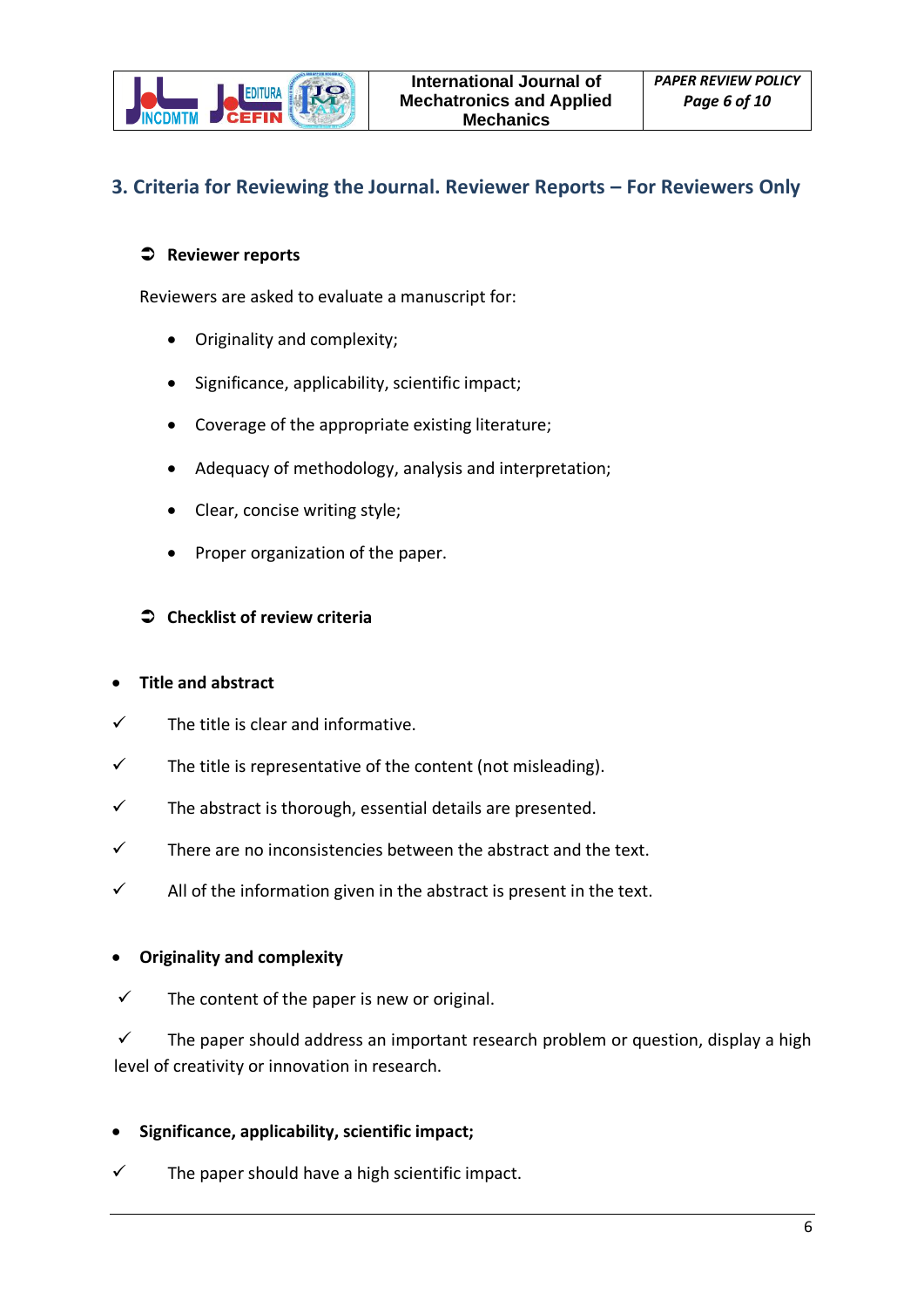

## <span id="page-5-0"></span>**3. Criteria for Reviewing the Journal. Reviewer Reports – For Reviewers Only**

### **Reviewer reports**

Reviewers are asked to evaluate a manuscript for:

- Originality and complexity;
- Significance, applicability, scientific impact;
- Coverage of the appropriate existing literature;
- Adequacy of methodology, analysis and interpretation;
- Clear, concise writing style;
- Proper organization of the paper.

#### **Checklist of review criteria**

#### • **Title and abstract**

- $\checkmark$  The title is clear and informative.
- $\checkmark$  The title is representative of the content (not misleading).
- $\checkmark$  The abstract is thorough, essential details are presented.
- $\checkmark$  There are no inconsistencies between the abstract and the text.
- $\checkmark$  All of the information given in the abstract is present in the text.

#### • **Originality and complexity**

 $\checkmark$  The content of the paper is new or original.

 $\checkmark$  The paper should address an important research problem or question, display a high level of creativity or innovation in research.

#### • **Significance, applicability, scientific impact;**

The paper should have a high scientific impact.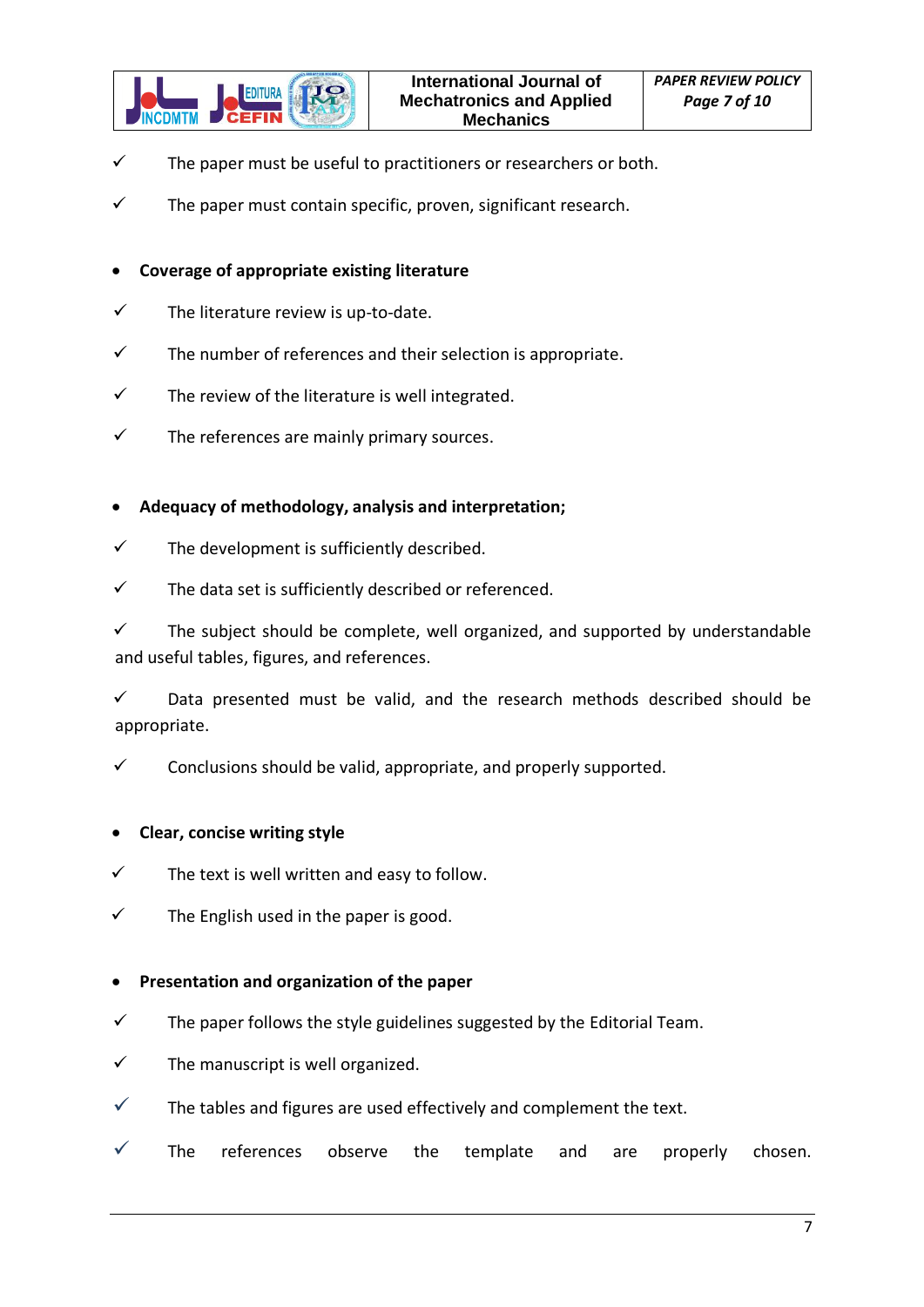

- $\checkmark$  The paper must be useful to practitioners or researchers or both.
- $\checkmark$  The paper must contain specific, proven, significant research.

#### • **Coverage of appropriate existing literature**

- $\checkmark$  The literature review is up-to-date.
- $\checkmark$  The number of references and their selection is appropriate.
- $\checkmark$  The review of the literature is well integrated.
- $\checkmark$  The references are mainly primary sources.

#### • **Adequacy of methodology, analysis and interpretation;**

- $\checkmark$  The development is sufficiently described.
- $\checkmark$  The data set is sufficiently described or referenced.

✓ The subject should be complete, well organized, and supported by understandable and useful tables, figures, and references.

 $\checkmark$  Data presented must be valid, and the research methods described should be appropriate.

 $\checkmark$  Conclusions should be valid, appropriate, and properly supported.

#### • **Clear, concise writing style**

- $\checkmark$  The text is well written and easy to follow.
- $\checkmark$  The English used in the paper is good.

#### • **Presentation and organization of the paper**

- $\checkmark$  The paper follows the style guidelines suggested by the Editorial Team.
- $\checkmark$  The manuscript is well organized.
- $\checkmark$  The tables and figures are used effectively and complement the text.
- $\checkmark$  The references observe the template and are properly chosen.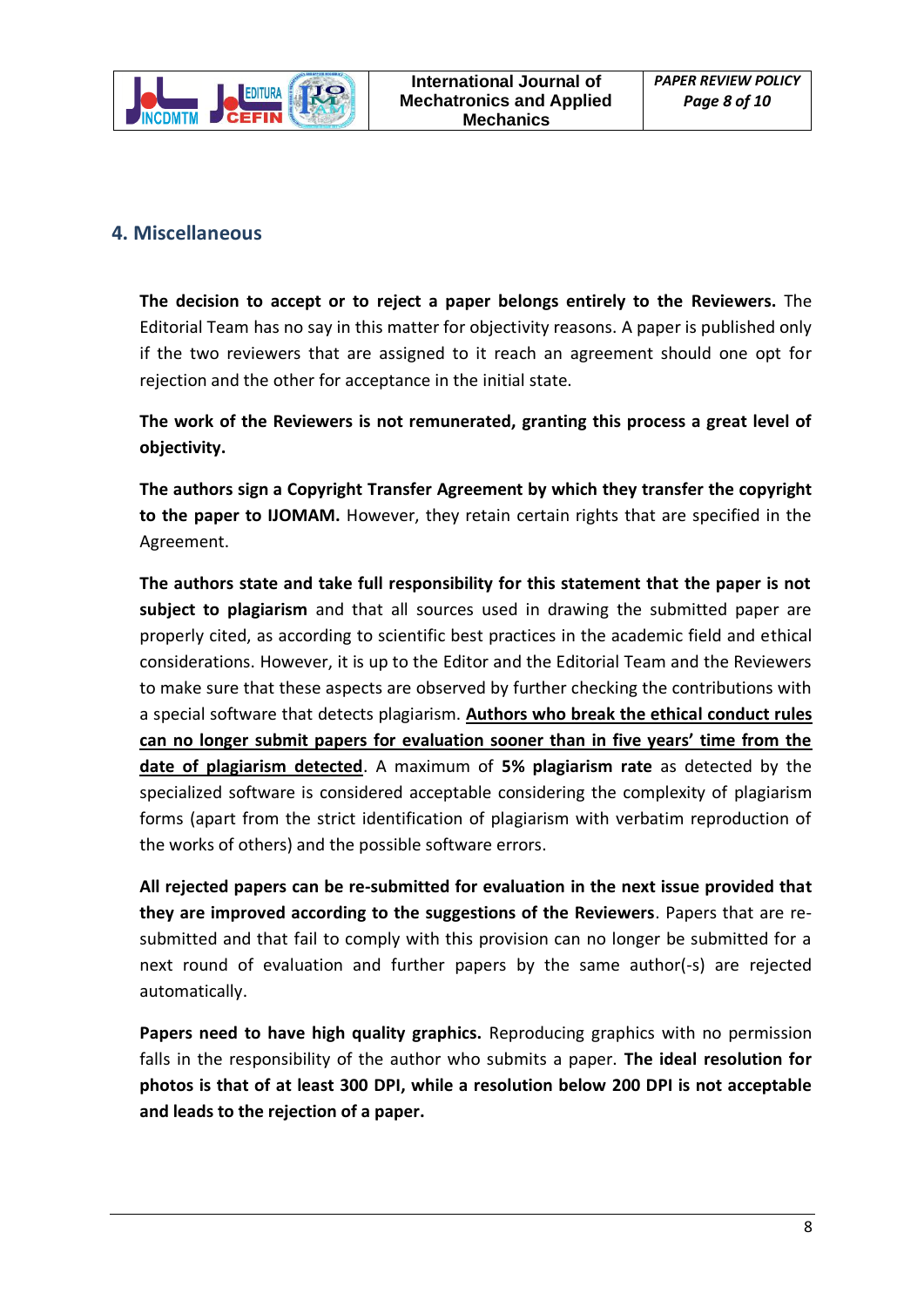

## <span id="page-7-0"></span>**4. Miscellaneous**

**The decision to accept or to reject a paper belongs entirely to the Reviewers.** The Editorial Team has no say in this matter for objectivity reasons. A paper is published only if the two reviewers that are assigned to it reach an agreement should one opt for rejection and the other for acceptance in the initial state.

**The work of the Reviewers is not remunerated, granting this process a great level of objectivity.**

**The authors sign a Copyright Transfer Agreement by which they transfer the copyright to the paper to IJOMAM.** However, they retain certain rights that are specified in the Agreement.

**The authors state and take full responsibility for this statement that the paper is not subject to plagiarism** and that all sources used in drawing the submitted paper are properly cited, as according to scientific best practices in the academic field and ethical considerations. However, it is up to the Editor and the Editorial Team and the Reviewers to make sure that these aspects are observed by further checking the contributions with a special software that detects plagiarism. **Authors who break the ethical conduct rules can no longer submit papers for evaluation sooner than in five years' time from the date of plagiarism detected**. A maximum of **5% plagiarism rate** as detected by the specialized software is considered acceptable considering the complexity of plagiarism forms (apart from the strict identification of plagiarism with verbatim reproduction of the works of others) and the possible software errors.

**All rejected papers can be re-submitted for evaluation in the next issue provided that they are improved according to the suggestions of the Reviewers**. Papers that are resubmitted and that fail to comply with this provision can no longer be submitted for a next round of evaluation and further papers by the same author(-s) are rejected automatically.

**Papers need to have high quality graphics.** Reproducing graphics with no permission falls in the responsibility of the author who submits a paper. **The ideal resolution for photos is that of at least 300 DPI, while a resolution below 200 DPI is not acceptable and leads to the rejection of a paper.**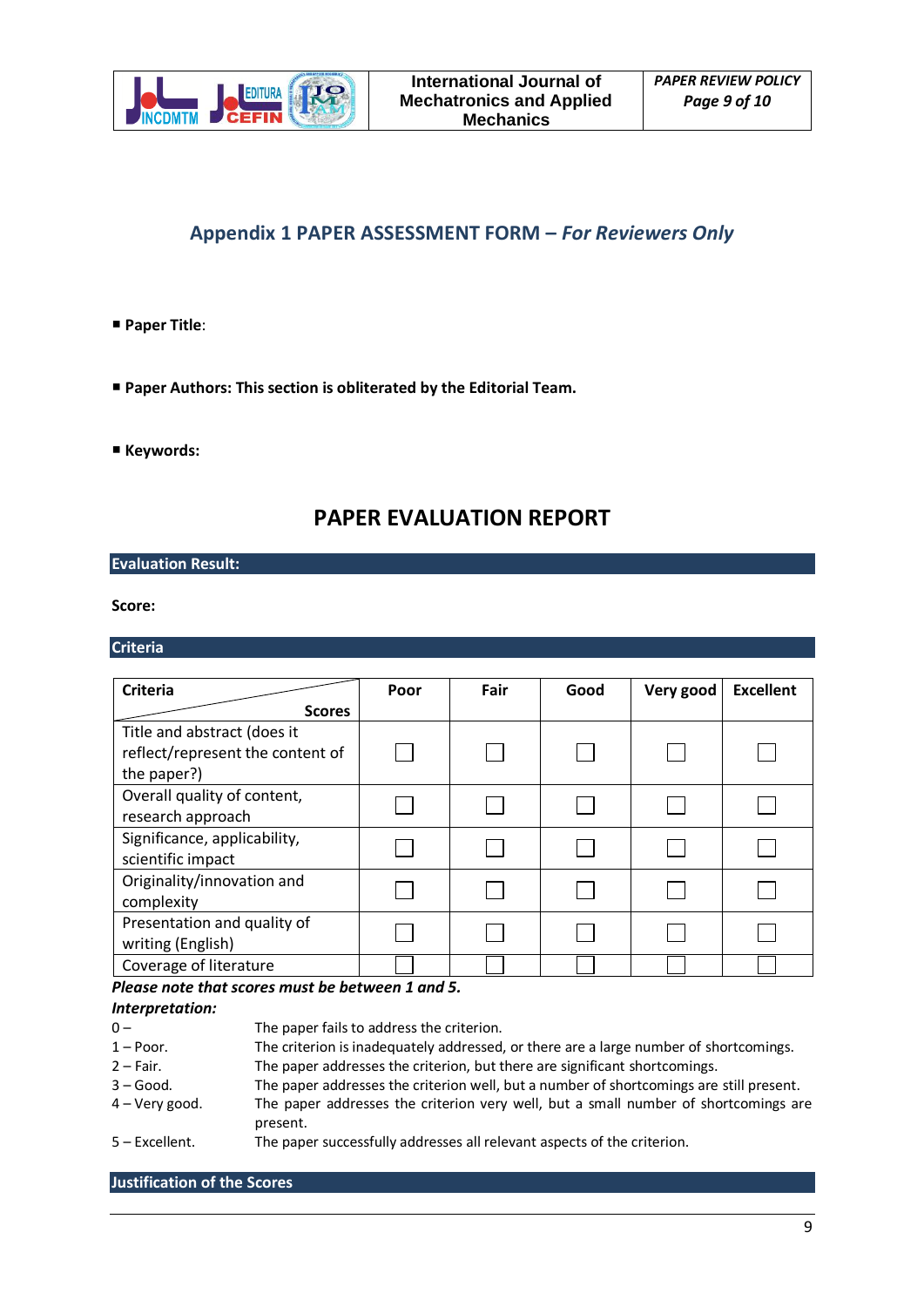

### <span id="page-8-0"></span>**Appendix 1 PAPER ASSESSMENT FORM –** *For Reviewers Only*

#### **Paper Title**:

- **Paper Authors: This section is obliterated by the Editorial Team.**
- **Keywords:**

### **PAPER EVALUATION REPORT**

#### **Evaluation Result:**

**Score:** 

#### **Criteria**

| <b>Criteria</b>                                                                | Poor | Fair | Good | Very good | <b>Excellent</b> |
|--------------------------------------------------------------------------------|------|------|------|-----------|------------------|
| <b>Scores</b>                                                                  |      |      |      |           |                  |
| Title and abstract (does it<br>reflect/represent the content of<br>the paper?) |      |      |      |           |                  |
| Overall quality of content,<br>research approach                               |      |      |      |           |                  |
| Significance, applicability,<br>scientific impact                              |      |      |      |           |                  |
| Originality/innovation and<br>complexity                                       |      |      |      |           |                  |
| Presentation and quality of<br>writing (English)                               |      |      |      |           |                  |
| Coverage of literature                                                         |      |      |      |           |                  |

*Please note that scores must be between 1 and 5.*

#### *Interpretation:*

- 0 The paper fails to address the criterion.<br>1 Poor. The criterion is inadequately addressed.
- The criterion is inadequately addressed, or there are a large number of shortcomings.
- 2 Fair. The paper addresses the criterion, but there are significant shortcomings.
- 3 Good. The paper addresses the criterion well, but a number of shortcomings are still present.
- 4 Very good. The paper addresses the criterion very well, but a small number of shortcomings are present.
- 5 Excellent. The paper successfully addresses all relevant aspects of the criterion.

**Justification of the Scores**